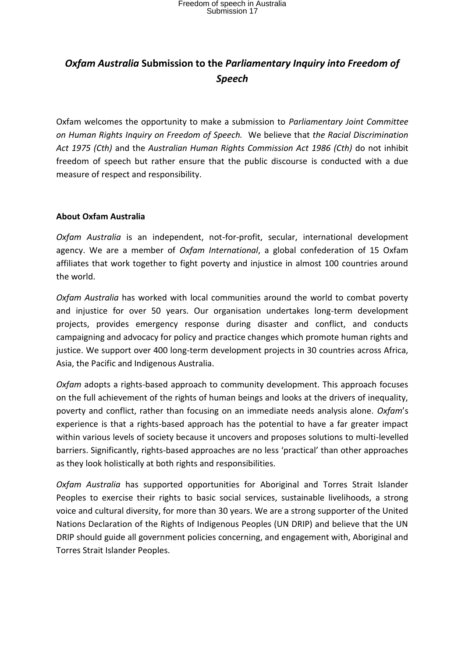## *Oxfam Australia* **Submission to the** *Parliamentary Inquiry into Freedom of Speech*

Oxfam welcomes the opportunity to make a submission to *Parliamentary Joint Committee on Human Rights Inquiry on Freedom of Speech.* We believe that *the Racial Discrimination Act 1975 (Cth)* and the *Australian Human Rights Commission Act 1986 (Cth)* do not inhibit freedom of speech but rather ensure that the public discourse is conducted with a due measure of respect and responsibility.

### **About Oxfam Australia**

*Oxfam Australia* is an independent, not-for-profit, secular, international development agency. We are a member of *Oxfam International*, a global confederation of 15 Oxfam affiliates that work together to fight poverty and injustice in almost 100 countries around the world.

*Oxfam Australia* has worked with local communities around the world to combat poverty and injustice for over 50 years. Our organisation undertakes long-term development projects, provides emergency response during disaster and conflict, and conducts campaigning and advocacy for policy and practice changes which promote human rights and justice. We support over 400 long-term development projects in 30 countries across Africa, Asia, the Pacific and Indigenous Australia.

*Oxfam* adopts a rights-based approach to community development. This approach focuses on the full achievement of the rights of human beings and looks at the drivers of inequality, poverty and conflict, rather than focusing on an immediate needs analysis alone. *Oxfam*'s experience is that a rights-based approach has the potential to have a far greater impact within various levels of society because it uncovers and proposes solutions to multi-levelled barriers. Significantly, rights-based approaches are no less 'practical' than other approaches as they look holistically at both rights and responsibilities.

*Oxfam Australia* has supported opportunities for Aboriginal and Torres Strait Islander Peoples to exercise their rights to basic social services, sustainable livelihoods, a strong voice and cultural diversity, for more than 30 years. We are a strong supporter of the United Nations Declaration of the Rights of Indigenous Peoples (UN DRIP) and believe that the UN DRIP should guide all government policies concerning, and engagement with, Aboriginal and Torres Strait Islander Peoples.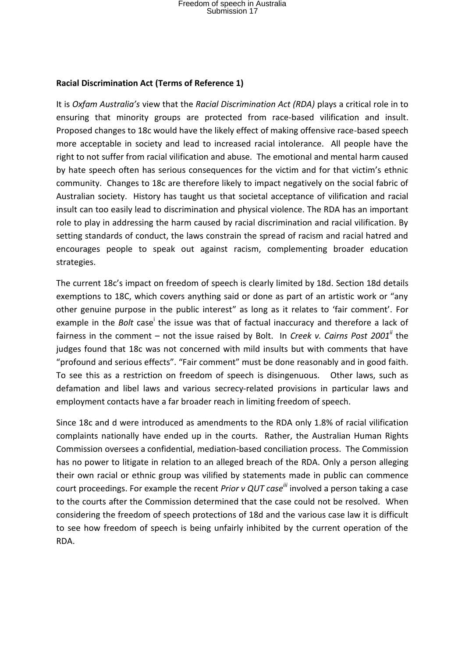# Freedom of speech in Australia Submission 17

#### **Racial Discrimination Act (Terms of Reference 1)**

It is *Oxfam Australia's* view that the *Racial Discrimination Act (RDA)* plays a critical role in to ensuring that minority groups are protected from race-based vilification and insult. Proposed changes to 18c would have the likely effect of making offensive race-based speech more acceptable in society and lead to increased racial intolerance. All people have the right to not suffer from racial vilification and abuse. The emotional and mental harm caused by hate speech often has serious consequences for the victim and for that victim's ethnic community. Changes to 18c are therefore likely to impact negatively on the social fabric of Australian society. History has taught us that societal acceptance of vilification and racial insult can too easily lead to discrimination and physical violence. The RDA has an important role to play in addressing the harm caused by racial discrimination and racial vilification. By setting standards of conduct, the laws constrain the spread of racism and racial hatred and encourages people to speak out against racism, complementing broader education strategies.

The current 18c's impact on freedom of speech is clearly limited by 18d. Section 18d details exemptions to 18C, which covers anything said or done as part of an artistic work or "any other genuine purpose in the public interest" as long as it relates to 'fair comment'. For example in the *Bolt* case<sup>i</sup> the issue was that of factual inaccuracy and therefore a lack of fairness in the comment – not the issue raised by Bolt. In *Creek v. Cairns Post 2001ii* the judges found that 18c was not concerned with mild insults but with comments that have "profound and serious effects". "Fair comment" must be done reasonably and in good faith. To see this as a restriction on freedom of speech is disingenuous. Other laws, such as defamation and libel laws and various secrecy-related provisions in particular laws and employment contacts have a far broader reach in limiting freedom of speech.

Since 18c and d were introduced as amendments to the RDA only 1.8% of racial vilification complaints nationally have ended up in the courts. Rather, the Australian Human Rights Commission oversees a confidential, mediation-based conciliation process. The Commission has no power to litigate in relation to an alleged breach of the RDA. Only a person alleging their own racial or ethnic group was vilified by statements made in public can commence court proceedings. For example the recent *Prior v QUT caseiii* involved a person taking a case to the courts after the Commission determined that the case could not be resolved. When considering the freedom of speech protections of 18d and the various case law it is difficult to see how freedom of speech is being unfairly inhibited by the current operation of the RDA.